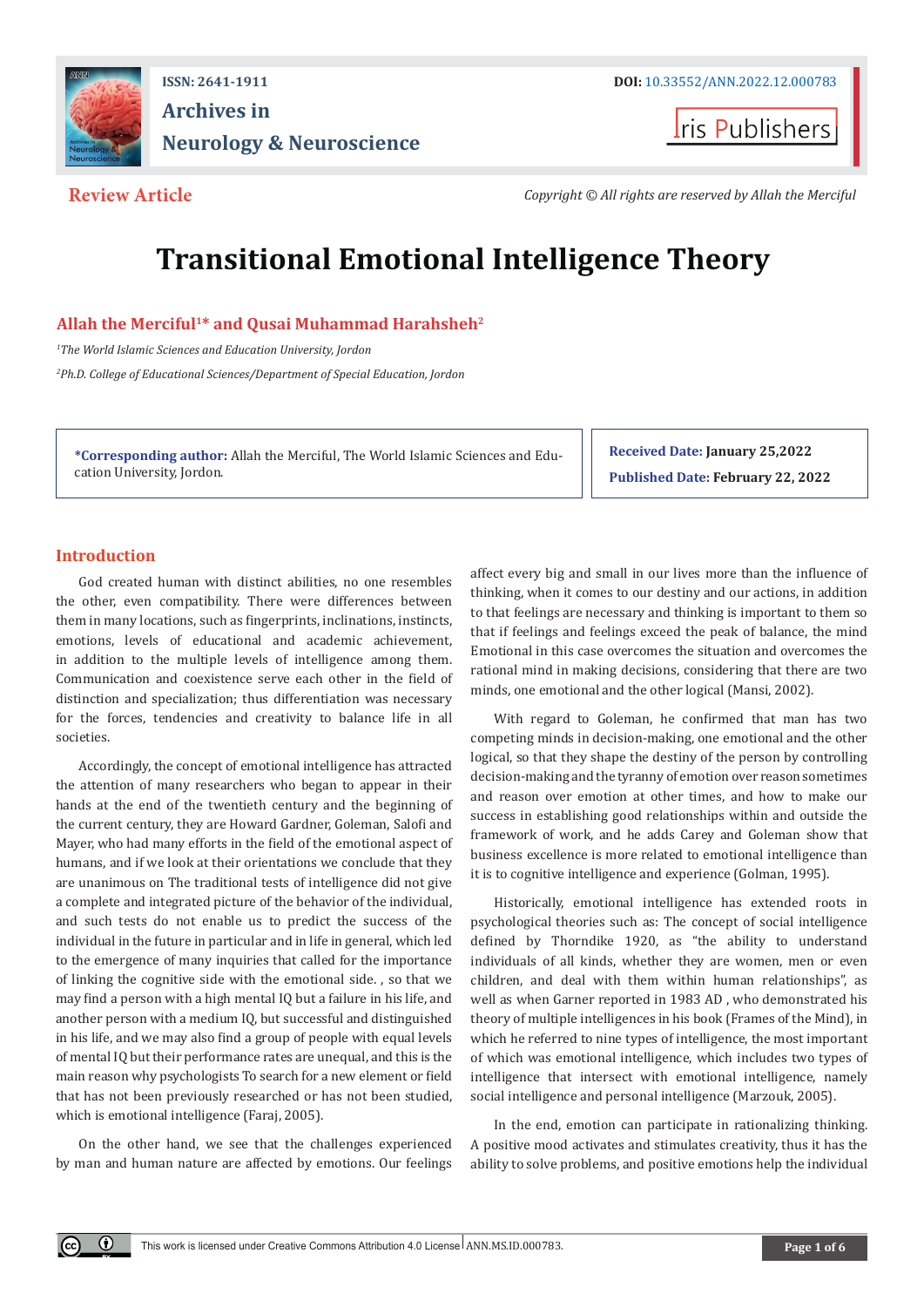

## **ISSN: 2641-1911 DOI:** [10.33552/ANN.2022.12.000783](http://dx.doi.org/10.33552/ANN.2022.12.000783) **Archives in Neurology & Neuroscience**

**I**ris Publishers

**Review Article** *Copyright © All rights are reserved by Allah the Merciful*

# **Transitional Emotional Intelligence Theory**

#### **Allah the Merciful1\* and Qusai Muhammad Harahsheh2**

*1 The World Islamic Sciences and Education University, Jordon 2 Ph.D. College of Educational Sciences/Department of Special Education, Jordon*

**\*Corresponding author:** Allah the Merciful, The World Islamic Sciences and Education University, Jordon.

**Received Date: January 25,2022 Published Date: February 22, 2022**

### **Introduction**

 $\odot$ 

God created human with distinct abilities, no one resembles the other, even compatibility. There were differences between them in many locations, such as fingerprints, inclinations, instincts, emotions, levels of educational and academic achievement, in addition to the multiple levels of intelligence among them. Communication and coexistence serve each other in the field of distinction and specialization; thus differentiation was necessary for the forces, tendencies and creativity to balance life in all societies.

Accordingly, the concept of emotional intelligence has attracted the attention of many researchers who began to appear in their hands at the end of the twentieth century and the beginning of the current century, they are Howard Gardner, Goleman, Salofi and Mayer, who had many efforts in the field of the emotional aspect of humans, and if we look at their orientations we conclude that they are unanimous on The traditional tests of intelligence did not give a complete and integrated picture of the behavior of the individual, and such tests do not enable us to predict the success of the individual in the future in particular and in life in general, which led to the emergence of many inquiries that called for the importance of linking the cognitive side with the emotional side. , so that we may find a person with a high mental IQ but a failure in his life, and another person with a medium IQ, but successful and distinguished in his life, and we may also find a group of people with equal levels of mental IQ but their performance rates are unequal, and this is the main reason why psychologists To search for a new element or field that has not been previously researched or has not been studied, which is emotional intelligence (Faraj, 2005).

On the other hand, we see that the challenges experienced by man and human nature are affected by emotions. Our feelings affect every big and small in our lives more than the influence of thinking, when it comes to our destiny and our actions, in addition to that feelings are necessary and thinking is important to them so that if feelings and feelings exceed the peak of balance, the mind Emotional in this case overcomes the situation and overcomes the rational mind in making decisions, considering that there are two minds, one emotional and the other logical (Mansi, 2002).

With regard to Goleman, he confirmed that man has two competing minds in decision-making, one emotional and the other logical, so that they shape the destiny of the person by controlling decision-making and the tyranny of emotion over reason sometimes and reason over emotion at other times, and how to make our success in establishing good relationships within and outside the framework of work, and he adds Carey and Goleman show that business excellence is more related to emotional intelligence than it is to cognitive intelligence and experience (Golman, 1995).

Historically, emotional intelligence has extended roots in psychological theories such as: The concept of social intelligence defined by Thorndike 1920, as "the ability to understand individuals of all kinds, whether they are women, men or even children, and deal with them within human relationships", as well as when Garner reported in 1983 AD , who demonstrated his theory of multiple intelligences in his book (Frames of the Mind), in which he referred to nine types of intelligence, the most important of which was emotional intelligence, which includes two types of intelligence that intersect with emotional intelligence, namely social intelligence and personal intelligence (Marzouk, 2005).

In the end, emotion can participate in rationalizing thinking. A positive mood activates and stimulates creativity, thus it has the ability to solve problems, and positive emotions help the individual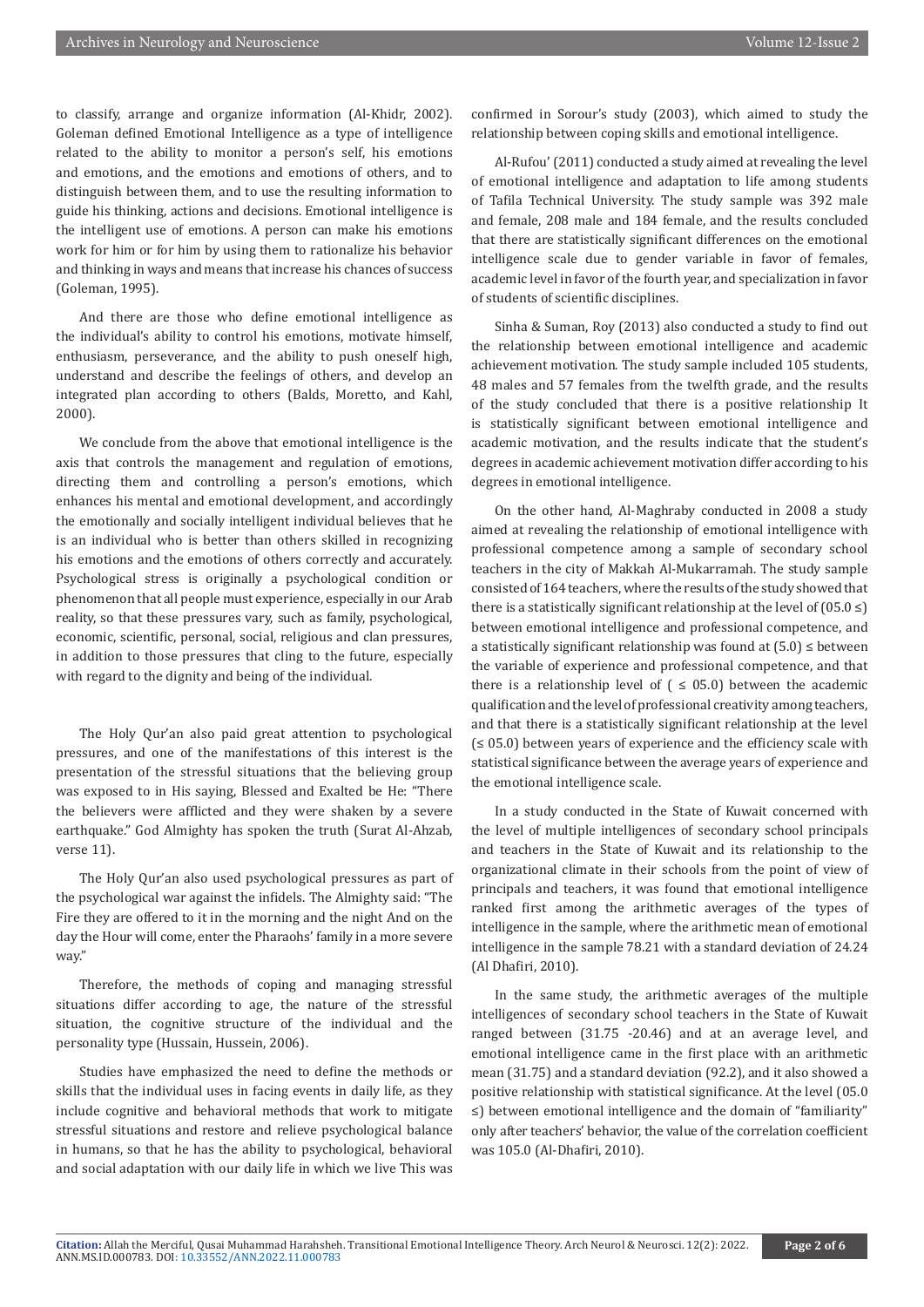to classify, arrange and organize information (Al-Khidr, 2002). Goleman defined Emotional Intelligence as a type of intelligence related to the ability to monitor a person's self, his emotions and emotions, and the emotions and emotions of others, and to distinguish between them, and to use the resulting information to guide his thinking, actions and decisions. Emotional intelligence is the intelligent use of emotions. A person can make his emotions work for him or for him by using them to rationalize his behavior and thinking in ways and means that increase his chances of success (Goleman, 1995).

And there are those who define emotional intelligence as the individual's ability to control his emotions, motivate himself, enthusiasm, perseverance, and the ability to push oneself high, understand and describe the feelings of others, and develop an integrated plan according to others (Balds, Moretto, and Kahl, 2000).

We conclude from the above that emotional intelligence is the axis that controls the management and regulation of emotions, directing them and controlling a person's emotions, which enhances his mental and emotional development, and accordingly the emotionally and socially intelligent individual believes that he is an individual who is better than others skilled in recognizing his emotions and the emotions of others correctly and accurately. Psychological stress is originally a psychological condition or phenomenon that all people must experience, especially in our Arab reality, so that these pressures vary, such as family, psychological, economic, scientific, personal, social, religious and clan pressures, in addition to those pressures that cling to the future, especially with regard to the dignity and being of the individual.

The Holy Qur'an also paid great attention to psychological pressures, and one of the manifestations of this interest is the presentation of the stressful situations that the believing group was exposed to in His saying, Blessed and Exalted be He: "There the believers were afflicted and they were shaken by a severe earthquake." God Almighty has spoken the truth (Surat Al-Ahzab, verse 11).

The Holy Qur'an also used psychological pressures as part of the psychological war against the infidels. The Almighty said: "The Fire they are offered to it in the morning and the night And on the day the Hour will come, enter the Pharaohs' family in a more severe way."

Therefore, the methods of coping and managing stressful situations differ according to age, the nature of the stressful situation, the cognitive structure of the individual and the personality type (Hussain, Hussein, 2006).

Studies have emphasized the need to define the methods or skills that the individual uses in facing events in daily life, as they include cognitive and behavioral methods that work to mitigate stressful situations and restore and relieve psychological balance in humans, so that he has the ability to psychological, behavioral and social adaptation with our daily life in which we live This was

confirmed in Sorour's study (2003), which aimed to study the relationship between coping skills and emotional intelligence.

Al-Rufou' (2011) conducted a study aimed at revealing the level of emotional intelligence and adaptation to life among students of Tafila Technical University. The study sample was 392 male and female, 208 male and 184 female, and the results concluded that there are statistically significant differences on the emotional intelligence scale due to gender variable in favor of females, academic level in favor of the fourth year, and specialization in favor of students of scientific disciplines.

Sinha & Suman, Roy (2013) also conducted a study to find out the relationship between emotional intelligence and academic achievement motivation. The study sample included 105 students, 48 males and 57 females from the twelfth grade, and the results of the study concluded that there is a positive relationship It is statistically significant between emotional intelligence and academic motivation, and the results indicate that the student's degrees in academic achievement motivation differ according to his degrees in emotional intelligence.

On the other hand, Al-Maghraby conducted in 2008 a study aimed at revealing the relationship of emotional intelligence with professional competence among a sample of secondary school teachers in the city of Makkah Al-Mukarramah. The study sample consisted of 164 teachers, where the results of the study showed that there is a statistically significant relationship at the level of  $(05.0 \leq)$ between emotional intelligence and professional competence, and a statistically significant relationship was found at  $(5.0) \leq$  between the variable of experience and professional competence, and that there is a relationship level of  $( \leq 05.0)$  between the academic qualification and the level of professional creativity among teachers, and that there is a statistically significant relationship at the level  $(65.0)$  between years of experience and the efficiency scale with statistical significance between the average years of experience and the emotional intelligence scale.

In a study conducted in the State of Kuwait concerned with the level of multiple intelligences of secondary school principals and teachers in the State of Kuwait and its relationship to the organizational climate in their schools from the point of view of principals and teachers, it was found that emotional intelligence ranked first among the arithmetic averages of the types of intelligence in the sample, where the arithmetic mean of emotional intelligence in the sample 78.21 with a standard deviation of 24.24 (Al Dhafiri, 2010).

In the same study, the arithmetic averages of the multiple intelligences of secondary school teachers in the State of Kuwait ranged between (31.75 -20.46) and at an average level, and emotional intelligence came in the first place with an arithmetic mean (31.75) and a standard deviation (92.2), and it also showed a positive relationship with statistical significance. At the level (05.0 ≤) between emotional intelligence and the domain of "familiarity" only after teachers' behavior, the value of the correlation coefficient was 105.0 (Al-Dhafiri, 2010).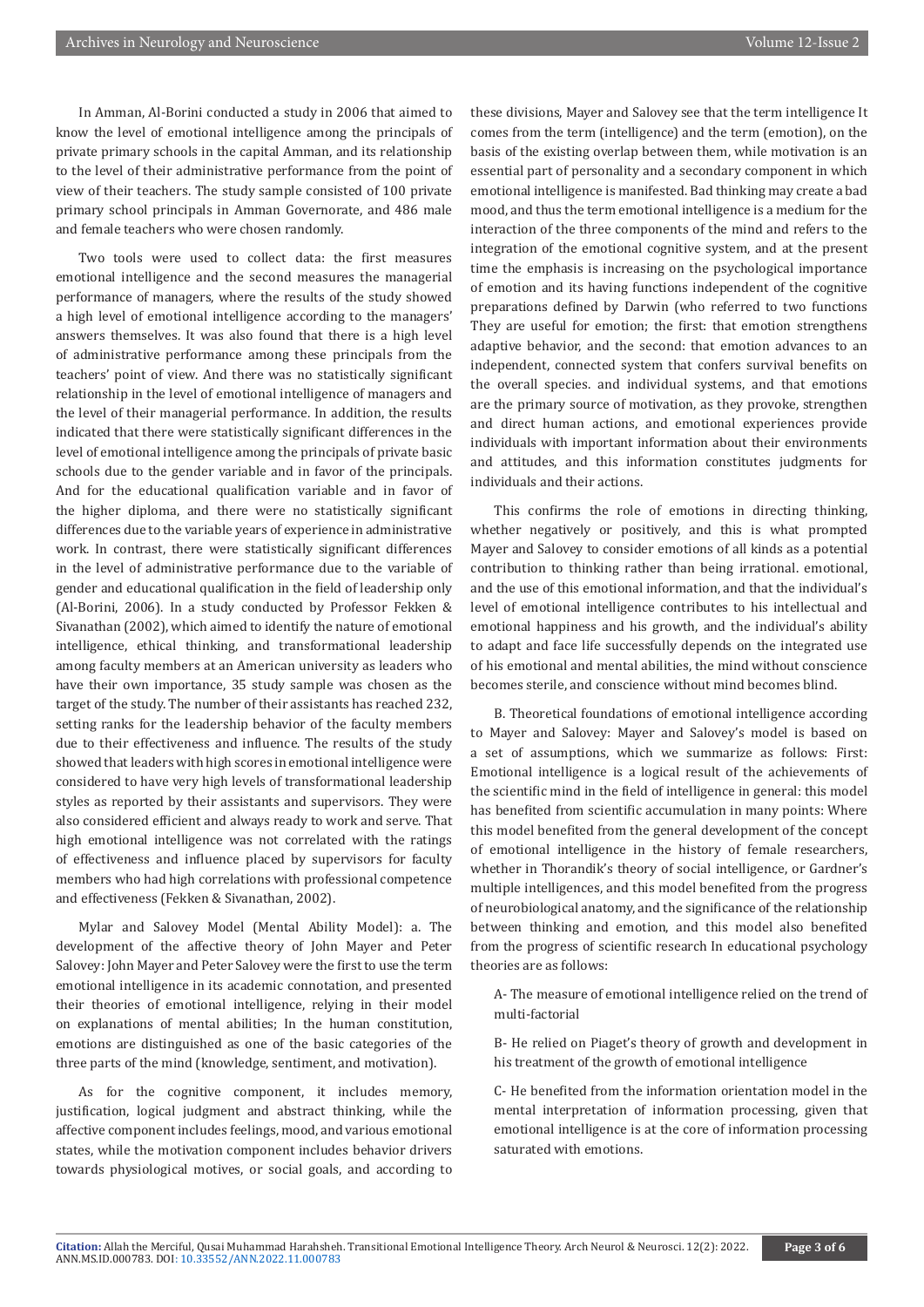In Amman, Al-Borini conducted a study in 2006 that aimed to know the level of emotional intelligence among the principals of private primary schools in the capital Amman, and its relationship to the level of their administrative performance from the point of view of their teachers. The study sample consisted of 100 private primary school principals in Amman Governorate, and 486 male and female teachers who were chosen randomly.

Two tools were used to collect data: the first measures emotional intelligence and the second measures the managerial performance of managers, where the results of the study showed a high level of emotional intelligence according to the managers' answers themselves. It was also found that there is a high level of administrative performance among these principals from the teachers' point of view. And there was no statistically significant relationship in the level of emotional intelligence of managers and the level of their managerial performance. In addition, the results indicated that there were statistically significant differences in the level of emotional intelligence among the principals of private basic schools due to the gender variable and in favor of the principals. And for the educational qualification variable and in favor of the higher diploma, and there were no statistically significant differences due to the variable years of experience in administrative work. In contrast, there were statistically significant differences in the level of administrative performance due to the variable of gender and educational qualification in the field of leadership only (Al-Borini, 2006). In a study conducted by Professor Fekken & Sivanathan (2002), which aimed to identify the nature of emotional intelligence, ethical thinking, and transformational leadership among faculty members at an American university as leaders who have their own importance, 35 study sample was chosen as the target of the study. The number of their assistants has reached 232, setting ranks for the leadership behavior of the faculty members due to their effectiveness and influence. The results of the study showed that leaders with high scores in emotional intelligence were considered to have very high levels of transformational leadership styles as reported by their assistants and supervisors. They were also considered efficient and always ready to work and serve. That high emotional intelligence was not correlated with the ratings of effectiveness and influence placed by supervisors for faculty members who had high correlations with professional competence and effectiveness (Fekken & Sivanathan, 2002).

Mylar and Salovey Model (Mental Ability Model): a. The development of the affective theory of John Mayer and Peter Salovey: John Mayer and Peter Salovey were the first to use the term emotional intelligence in its academic connotation, and presented their theories of emotional intelligence, relying in their model on explanations of mental abilities; In the human constitution, emotions are distinguished as one of the basic categories of the three parts of the mind (knowledge, sentiment, and motivation).

As for the cognitive component, it includes memory, justification, logical judgment and abstract thinking, while the affective component includes feelings, mood, and various emotional states, while the motivation component includes behavior drivers towards physiological motives, or social goals, and according to

these divisions, Mayer and Salovey see that the term intelligence It comes from the term (intelligence) and the term (emotion), on the basis of the existing overlap between them, while motivation is an essential part of personality and a secondary component in which emotional intelligence is manifested. Bad thinking may create a bad mood, and thus the term emotional intelligence is a medium for the interaction of the three components of the mind and refers to the integration of the emotional cognitive system, and at the present time the emphasis is increasing on the psychological importance of emotion and its having functions independent of the cognitive preparations defined by Darwin (who referred to two functions They are useful for emotion; the first: that emotion strengthens adaptive behavior, and the second: that emotion advances to an independent, connected system that confers survival benefits on the overall species. and individual systems, and that emotions are the primary source of motivation, as they provoke, strengthen and direct human actions, and emotional experiences provide individuals with important information about their environments and attitudes, and this information constitutes judgments for individuals and their actions.

This confirms the role of emotions in directing thinking, whether negatively or positively, and this is what prompted Mayer and Salovey to consider emotions of all kinds as a potential contribution to thinking rather than being irrational. emotional, and the use of this emotional information, and that the individual's level of emotional intelligence contributes to his intellectual and emotional happiness and his growth, and the individual's ability to adapt and face life successfully depends on the integrated use of his emotional and mental abilities, the mind without conscience becomes sterile, and conscience without mind becomes blind.

B. Theoretical foundations of emotional intelligence according to Mayer and Salovey: Mayer and Salovey's model is based on a set of assumptions, which we summarize as follows: First: Emotional intelligence is a logical result of the achievements of the scientific mind in the field of intelligence in general: this model has benefited from scientific accumulation in many points: Where this model benefited from the general development of the concept of emotional intelligence in the history of female researchers, whether in Thorandik's theory of social intelligence, or Gardner's multiple intelligences, and this model benefited from the progress of neurobiological anatomy, and the significance of the relationship between thinking and emotion, and this model also benefited from the progress of scientific research In educational psychology theories are as follows:

A- The measure of emotional intelligence relied on the trend of multi-factorial

B- He relied on Piaget's theory of growth and development in his treatment of the growth of emotional intelligence

C- He benefited from the information orientation model in the mental interpretation of information processing, given that emotional intelligence is at the core of information processing saturated with emotions.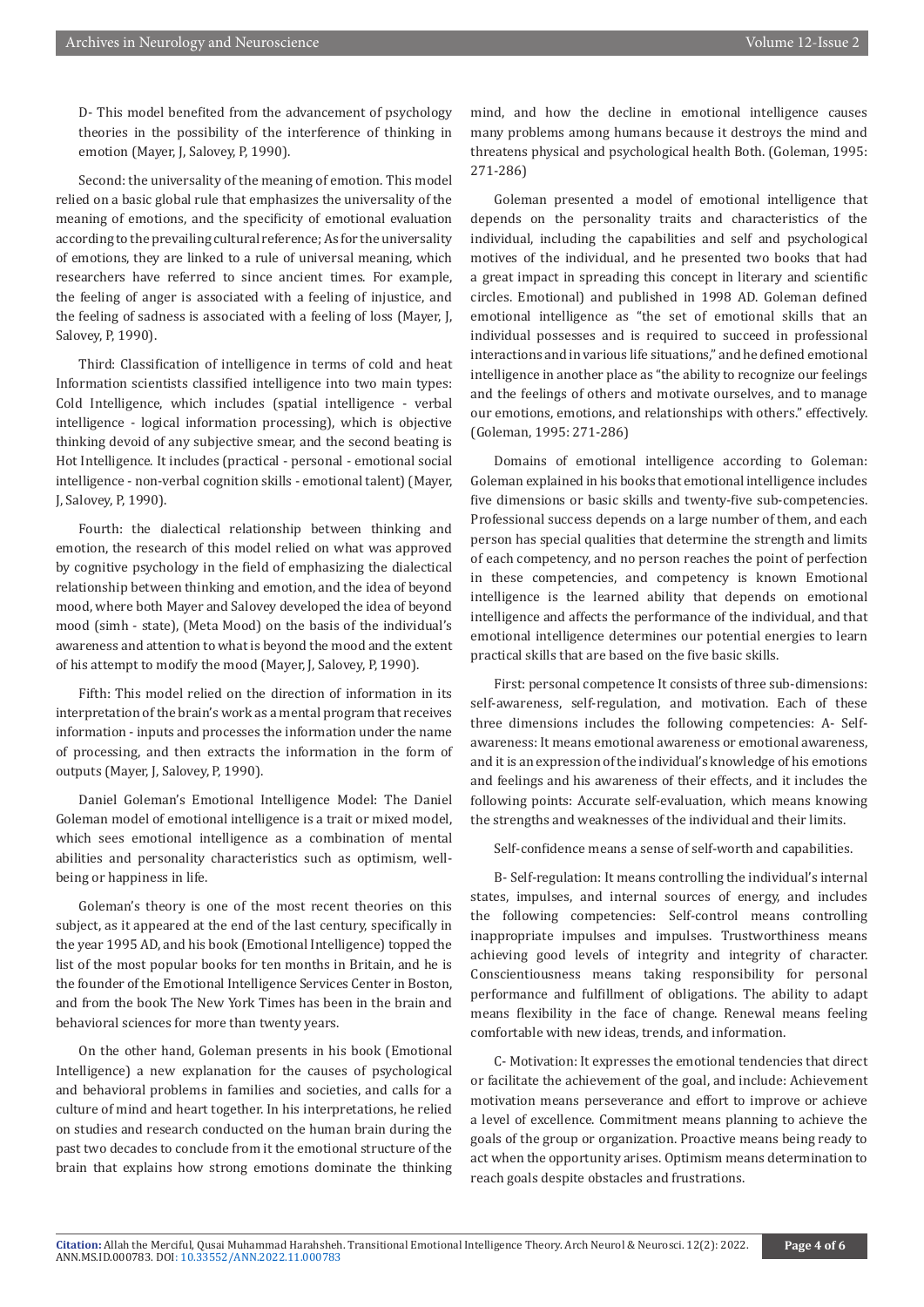D- This model benefited from the advancement of psychology theories in the possibility of the interference of thinking in emotion (Mayer, J, Salovey, P, 1990).

Second: the universality of the meaning of emotion. This model relied on a basic global rule that emphasizes the universality of the meaning of emotions, and the specificity of emotional evaluation according to the prevailing cultural reference; As for the universality of emotions, they are linked to a rule of universal meaning, which researchers have referred to since ancient times. For example, the feeling of anger is associated with a feeling of injustice, and the feeling of sadness is associated with a feeling of loss (Mayer, J, Salovey, P, 1990).

Third: Classification of intelligence in terms of cold and heat Information scientists classified intelligence into two main types: Cold Intelligence, which includes (spatial intelligence - verbal intelligence - logical information processing), which is objective thinking devoid of any subjective smear, and the second beating is Hot Intelligence. It includes (practical - personal - emotional social intelligence - non-verbal cognition skills - emotional talent) (Mayer, J, Salovey, P, 1990).

Fourth: the dialectical relationship between thinking and emotion, the research of this model relied on what was approved by cognitive psychology in the field of emphasizing the dialectical relationship between thinking and emotion, and the idea of beyond mood, where both Mayer and Salovey developed the idea of beyond mood (simh - state), (Meta Mood) on the basis of the individual's awareness and attention to what is beyond the mood and the extent of his attempt to modify the mood (Mayer, J, Salovey, P, 1990).

Fifth: This model relied on the direction of information in its interpretation of the brain's work as a mental program that receives information - inputs and processes the information under the name of processing, and then extracts the information in the form of outputs (Mayer, J, Salovey, P, 1990).

Daniel Goleman's Emotional Intelligence Model: The Daniel Goleman model of emotional intelligence is a trait or mixed model, which sees emotional intelligence as a combination of mental abilities and personality characteristics such as optimism, wellbeing or happiness in life.

Goleman's theory is one of the most recent theories on this subject, as it appeared at the end of the last century, specifically in the year 1995 AD, and his book (Emotional Intelligence) topped the list of the most popular books for ten months in Britain, and he is the founder of the Emotional Intelligence Services Center in Boston, and from the book The New York Times has been in the brain and behavioral sciences for more than twenty years.

On the other hand, Goleman presents in his book (Emotional Intelligence) a new explanation for the causes of psychological and behavioral problems in families and societies, and calls for a culture of mind and heart together. In his interpretations, he relied on studies and research conducted on the human brain during the past two decades to conclude from it the emotional structure of the brain that explains how strong emotions dominate the thinking

mind, and how the decline in emotional intelligence causes many problems among humans because it destroys the mind and threatens physical and psychological health Both. (Goleman, 1995: 271-286)

Goleman presented a model of emotional intelligence that depends on the personality traits and characteristics of the individual, including the capabilities and self and psychological motives of the individual, and he presented two books that had a great impact in spreading this concept in literary and scientific circles. Emotional) and published in 1998 AD. Goleman defined emotional intelligence as "the set of emotional skills that an individual possesses and is required to succeed in professional interactions and in various life situations," and he defined emotional intelligence in another place as "the ability to recognize our feelings and the feelings of others and motivate ourselves, and to manage our emotions, emotions, and relationships with others." effectively. (Goleman, 1995: 271-286)

Domains of emotional intelligence according to Goleman: Goleman explained in his books that emotional intelligence includes five dimensions or basic skills and twenty-five sub-competencies. Professional success depends on a large number of them, and each person has special qualities that determine the strength and limits of each competency, and no person reaches the point of perfection in these competencies, and competency is known Emotional intelligence is the learned ability that depends on emotional intelligence and affects the performance of the individual, and that emotional intelligence determines our potential energies to learn practical skills that are based on the five basic skills.

First: personal competence It consists of three sub-dimensions: self-awareness, self-regulation, and motivation. Each of these three dimensions includes the following competencies: A- Selfawareness: It means emotional awareness or emotional awareness, and it is an expression of the individual's knowledge of his emotions and feelings and his awareness of their effects, and it includes the following points: Accurate self-evaluation, which means knowing the strengths and weaknesses of the individual and their limits.

Self-confidence means a sense of self-worth and capabilities.

B- Self-regulation: It means controlling the individual's internal states, impulses, and internal sources of energy, and includes the following competencies: Self-control means controlling inappropriate impulses and impulses. Trustworthiness means achieving good levels of integrity and integrity of character. Conscientiousness means taking responsibility for personal performance and fulfillment of obligations. The ability to adapt means flexibility in the face of change. Renewal means feeling comfortable with new ideas, trends, and information.

C- Motivation: It expresses the emotional tendencies that direct or facilitate the achievement of the goal, and include: Achievement motivation means perseverance and effort to improve or achieve a level of excellence. Commitment means planning to achieve the goals of the group or organization. Proactive means being ready to act when the opportunity arises. Optimism means determination to reach goals despite obstacles and frustrations.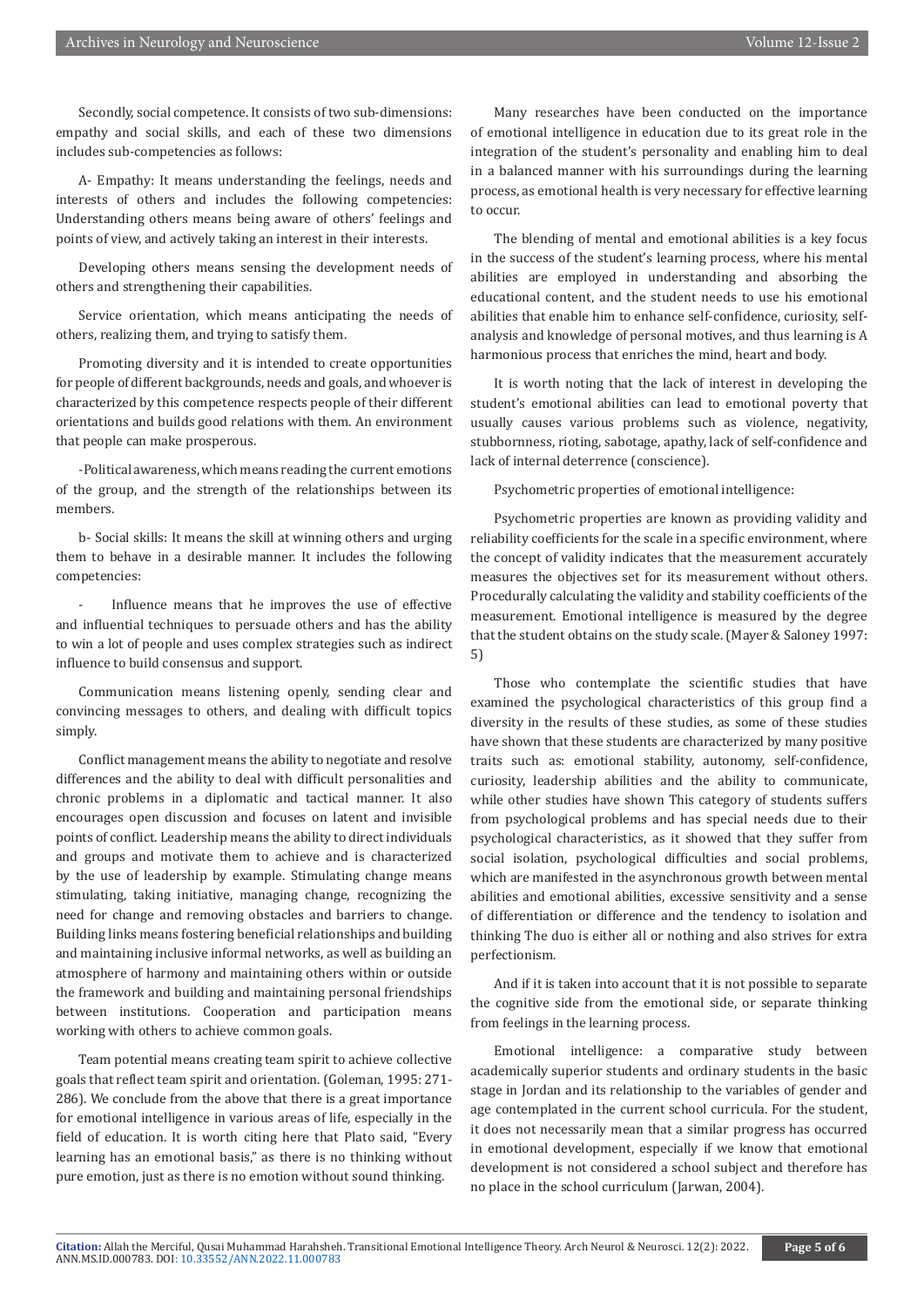Secondly, social competence. It consists of two sub-dimensions: empathy and social skills, and each of these two dimensions includes sub-competencies as follows:

A- Empathy: It means understanding the feelings, needs and interests of others and includes the following competencies: Understanding others means being aware of others' feelings and points of view, and actively taking an interest in their interests.

Developing others means sensing the development needs of others and strengthening their capabilities.

Service orientation, which means anticipating the needs of others, realizing them, and trying to satisfy them.

Promoting diversity and it is intended to create opportunities for people of different backgrounds, needs and goals, and whoever is characterized by this competence respects people of their different orientations and builds good relations with them. An environment that people can make prosperous.

-Political awareness, which means reading the current emotions of the group, and the strength of the relationships between its members.

b- Social skills: It means the skill at winning others and urging them to behave in a desirable manner. It includes the following competencies:

Influence means that he improves the use of effective and influential techniques to persuade others and has the ability to win a lot of people and uses complex strategies such as indirect influence to build consensus and support.

Communication means listening openly, sending clear and convincing messages to others, and dealing with difficult topics simply.

Conflict management means the ability to negotiate and resolve differences and the ability to deal with difficult personalities and chronic problems in a diplomatic and tactical manner. It also encourages open discussion and focuses on latent and invisible points of conflict. Leadership means the ability to direct individuals and groups and motivate them to achieve and is characterized by the use of leadership by example. Stimulating change means stimulating, taking initiative, managing change, recognizing the need for change and removing obstacles and barriers to change. Building links means fostering beneficial relationships and building and maintaining inclusive informal networks, as well as building an atmosphere of harmony and maintaining others within or outside the framework and building and maintaining personal friendships between institutions. Cooperation and participation means working with others to achieve common goals.

Team potential means creating team spirit to achieve collective goals that reflect team spirit and orientation. (Goleman, 1995: 271- 286). We conclude from the above that there is a great importance for emotional intelligence in various areas of life, especially in the field of education. It is worth citing here that Plato said, "Every learning has an emotional basis," as there is no thinking without pure emotion, just as there is no emotion without sound thinking.

Many researches have been conducted on the importance of emotional intelligence in education due to its great role in the integration of the student's personality and enabling him to deal in a balanced manner with his surroundings during the learning process, as emotional health is very necessary for effective learning to occur.

The blending of mental and emotional abilities is a key focus in the success of the student's learning process, where his mental abilities are employed in understanding and absorbing the educational content, and the student needs to use his emotional abilities that enable him to enhance self-confidence, curiosity, selfanalysis and knowledge of personal motives, and thus learning is A harmonious process that enriches the mind, heart and body.

It is worth noting that the lack of interest in developing the student's emotional abilities can lead to emotional poverty that usually causes various problems such as violence, negativity, stubbornness, rioting, sabotage, apathy, lack of self-confidence and lack of internal deterrence (conscience).

Psychometric properties of emotional intelligence:

Psychometric properties are known as providing validity and reliability coefficients for the scale in a specific environment, where the concept of validity indicates that the measurement accurately measures the objectives set for its measurement without others. Procedurally calculating the validity and stability coefficients of the measurement. Emotional intelligence is measured by the degree that the student obtains on the study scale. (Mayer & Saloney 1997: 5)

Those who contemplate the scientific studies that have examined the psychological characteristics of this group find a diversity in the results of these studies, as some of these studies have shown that these students are characterized by many positive traits such as: emotional stability, autonomy, self-confidence, curiosity, leadership abilities and the ability to communicate, while other studies have shown This category of students suffers from psychological problems and has special needs due to their psychological characteristics, as it showed that they suffer from social isolation, psychological difficulties and social problems, which are manifested in the asynchronous growth between mental abilities and emotional abilities, excessive sensitivity and a sense of differentiation or difference and the tendency to isolation and thinking The duo is either all or nothing and also strives for extra perfectionism.

And if it is taken into account that it is not possible to separate the cognitive side from the emotional side, or separate thinking from feelings in the learning process.

Emotional intelligence: a comparative study between academically superior students and ordinary students in the basic stage in Jordan and its relationship to the variables of gender and age contemplated in the current school curricula. For the student, it does not necessarily mean that a similar progress has occurred in emotional development, especially if we know that emotional development is not considered a school subject and therefore has no place in the school curriculum (Jarwan, 2004).